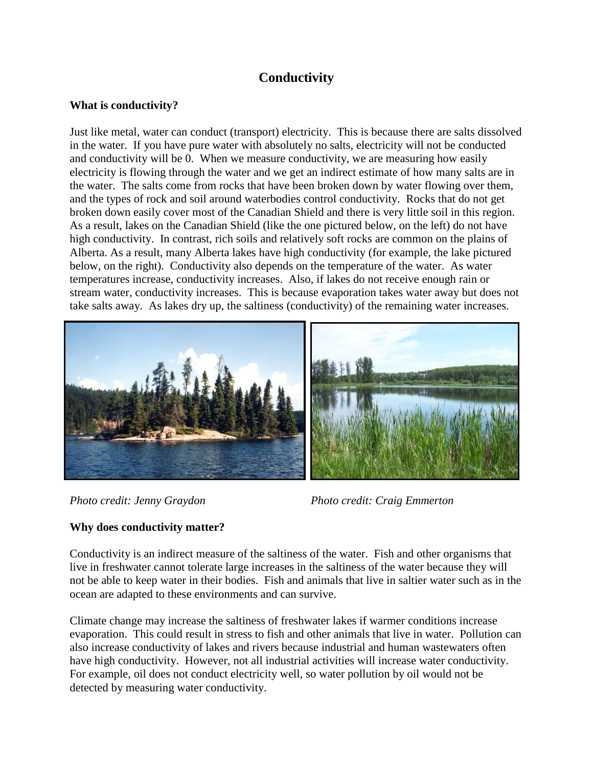# **Conductivity**

## **What is conductivity?**

Just like metal, water can conduct (transport) electricity. This is because there are salts dissolved in the water. If you have pure water with absolutely no salts, electricity will not be conducted and conductivity will be 0. When we measure conductivity, we are measuring how easily electricity is flowing through the water and we get an indirect estimate of how many salts are in the water. The salts come from rocks that have been broken down by water flowing over them, and the types of rock and soil around waterbodies control conductivity. Rocks that do not get broken down easily cover most of the Canadian Shield and there is very little soil in this region. As a result, lakes on the Canadian Shield (like the one pictured below, on the left) do not have high conductivity. In contrast, rich soils and relatively soft rocks are common on the plains of Alberta. As a result, many Alberta lakes have high conductivity (for example, the lake pictured below, on the right). Conductivity also depends on the temperature of the water. As water temperatures increase, conductivity increases. Also, if lakes do not receive enough rain or stream water, conductivity increases. This is because evaporation takes water away but does not take salts away. As lakes dry up, the saltiness (conductivity) of the remaining water increases.





*Photo credit: Jenny Graydon Photo credit: Craig Emmerton*

# **Why does conductivity matter?**

Conductivity is an indirect measure of the saltiness of the water. Fish and other organisms that live in freshwater cannot tolerate large increases in the saltiness of the water because they will not be able to keep water in their bodies. Fish and animals that live in saltier water such as in the ocean are adapted to these environments and can survive.

Climate change may increase the saltiness of freshwater lakes if warmer conditions increase evaporation. This could result in stress to fish and other animals that live in water. Pollution can also increase conductivity of lakes and rivers because industrial and human wastewaters often have high conductivity. However, not all industrial activities will increase water conductivity. For example, oil does not conduct electricity well, so water pollution by oil would not be detected by measuring water conductivity.